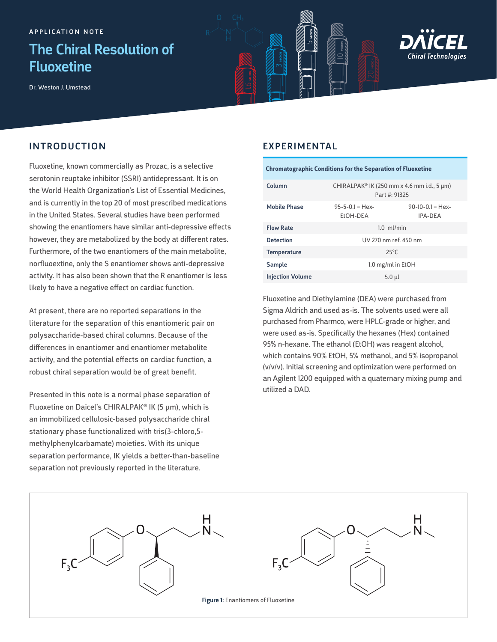## The Chiral Resolution of Fluoxetine

Dr. Weston J. Umstead

INTRODUCTION



## EXPERIMENTAL

5 MICRON

 $10$  micron

3 MICRON

Fluoxetine, known commercially as Prozac, is a selective serotonin reuptake inhibitor (SSRI) antidepressant. It is on the World Health Organization's List of Essential Medicines, and is currently in the top 20 of most prescribed medications in the United States. Several studies have been performed showing the enantiomers have similar anti-depressive effects however, they are metabolized by the body at different rates. Furthermore, of the two enantiomers of the main metabolite, norfluoextine, only the S enantiomer shows anti-depressive activity. It has also been shown that the R enantiomer is less likely to have a negative effect on cardiac function.

At present, there are no reported separations in the literature for the separation of this enantiomeric pair on polysaccharide-based chiral columns. Because of the differences in enantiomer and enantiomer metabolite activity, and the potential effects on cardiac function, a robust chiral separation would be of great benefit.

Presented in this note is a normal phase separation of Fluoxetine on Daicel's CHIRALPAK® IK (5 µm), which is an immobilized cellulosic-based polysaccharide chiral stationary phase functionalized with tris(3-chloro,5 methylphenylcarbamate) moieties. With its unique separation performance, IK yields a better-than-baseline separation not previously reported in the literature.

| <b>Chromatographic Conditions for the Separation of Fluoxetine</b> |  |
|--------------------------------------------------------------------|--|
|                                                                    |  |

| Column                  | CHIRALPAK® IK (250 mm x 4.6 mm i.d., 5 $\mu$ m)<br>Part #: 91325 |                                      |
|-------------------------|------------------------------------------------------------------|--------------------------------------|
| <b>Mobile Phase</b>     | $95 - 5 - 0.1 =$ Hex-<br>EtOH-DEA                                | $90-10-0.1 =$ Hex-<br><b>IPA-DFA</b> |
| <b>Flow Rate</b>        | $1.0$ ml/min                                                     |                                      |
| <b>Detection</b>        | UV 270 nm ref. 450 nm                                            |                                      |
| <b>Temperature</b>      | $25^{\circ}$ C                                                   |                                      |
| Sample                  | 1.0 mg/ml in EtOH                                                |                                      |
| <b>Injection Volume</b> | $5.0$ $\mu$                                                      |                                      |

Fluoxetine and Diethylamine (DEA) were purchased from Sigma Aldrich and used as-is. The solvents used were all purchased from Pharmco, were HPLC-grade or higher, and were used as-is. Specifically the hexanes (Hex) contained 95% n-hexane. The ethanol (EtOH) was reagent alcohol, which contains 90% EtOH, 5% methanol, and 5% isopropanol (v/v/v). Initial screening and optimization were performed on an Agilent 1200 equipped with a quaternary mixing pump and utilized a DAD.